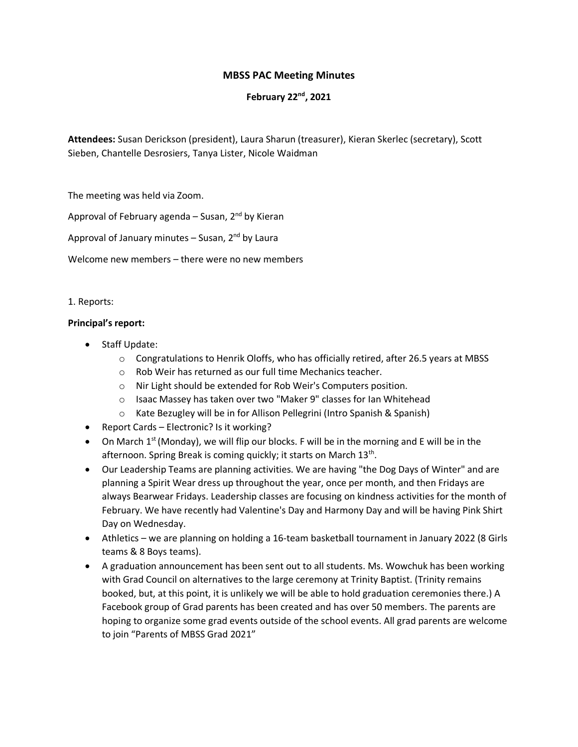# **MBSS PAC Meeting Minutes**

## **February 22nd, 2021**

**Attendees:** Susan Derickson (president), Laura Sharun (treasurer), Kieran Skerlec (secretary), Scott Sieben, Chantelle Desrosiers, Tanya Lister, Nicole Waidman

The meeting was held via Zoom.

Approval of February agenda – Susan,  $2^{nd}$  by Kieran

Approval of January minutes  $-$  Susan, 2<sup>nd</sup> by Laura

Welcome new members – there were no new members

### 1. Reports:

### **Principal's report:**

- Staff Update:
	- $\circ$  Congratulations to Henrik Oloffs, who has officially retired, after 26.5 years at MBSS
	- o Rob Weir has returned as our full time Mechanics teacher.
	- o Nir Light should be extended for Rob Weir's Computers position.
	- o Isaac Massey has taken over two "Maker 9" classes for Ian Whitehead
	- o Kate Bezugley will be in for Allison Pellegrini (Intro Spanish & Spanish)
- Report Cards Electronic? Is it working?
- On March  $1<sup>st</sup>$  (Monday), we will flip our blocks. F will be in the morning and E will be in the afternoon. Spring Break is coming quickly; it starts on March 13<sup>th</sup>.
- Our Leadership Teams are planning activities. We are having "the Dog Days of Winter" and are planning a Spirit Wear dress up throughout the year, once per month, and then Fridays are always Bearwear Fridays. Leadership classes are focusing on kindness activities for the month of February. We have recently had Valentine's Day and Harmony Day and will be having Pink Shirt Day on Wednesday.
- Athletics we are planning on holding a 16-team basketball tournament in January 2022 (8 Girls teams & 8 Boys teams).
- A graduation announcement has been sent out to all students. Ms. Wowchuk has been working with Grad Council on alternatives to the large ceremony at Trinity Baptist. (Trinity remains booked, but, at this point, it is unlikely we will be able to hold graduation ceremonies there.) A Facebook group of Grad parents has been created and has over 50 members. The parents are hoping to organize some grad events outside of the school events. All grad parents are welcome to join "Parents of MBSS Grad 2021"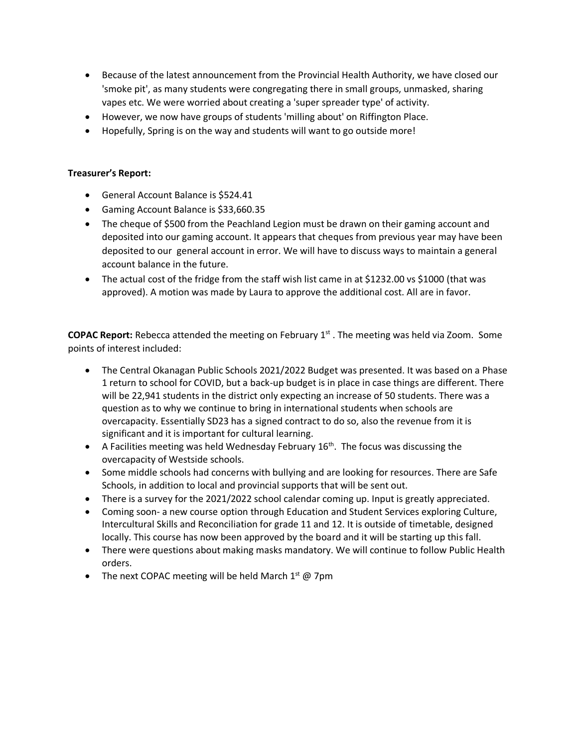- Because of the latest announcement from the Provincial Health Authority, we have closed our 'smoke pit', as many students were congregating there in small groups, unmasked, sharing vapes etc. We were worried about creating a 'super spreader type' of activity.
- However, we now have groups of students 'milling about' on Riffington Place.
- Hopefully, Spring is on the way and students will want to go outside more!

# **Treasurer's Report:**

- General Account Balance is \$524.41
- Gaming Account Balance is \$33,660.35
- The cheque of \$500 from the Peachland Legion must be drawn on their gaming account and deposited into our gaming account. It appears that cheques from previous year may have been deposited to our general account in error. We will have to discuss ways to maintain a general account balance in the future.
- The actual cost of the fridge from the staff wish list came in at \$1232.00 vs \$1000 (that was approved). A motion was made by Laura to approve the additional cost. All are in favor.

**COPAC Report:** Rebecca attended the meeting on February 1st . The meeting was held via Zoom. Some points of interest included:

- The Central Okanagan Public Schools 2021/2022 Budget was presented. It was based on a Phase 1 return to school for COVID, but a back-up budget is in place in case things are different. There will be 22,941 students in the district only expecting an increase of 50 students. There was a question as to why we continue to bring in international students when schools are overcapacity. Essentially SD23 has a signed contract to do so, also the revenue from it is significant and it is important for cultural learning.
- A Facilities meeting was held Wednesday February  $16<sup>th</sup>$ . The focus was discussing the overcapacity of Westside schools.
- Some middle schools had concerns with bullying and are looking for resources. There are Safe Schools, in addition to local and provincial supports that will be sent out.
- There is a survey for the 2021/2022 school calendar coming up. Input is greatly appreciated.
- Coming soon- a new course option through Education and Student Services exploring Culture, Intercultural Skills and Reconciliation for grade 11 and 12. It is outside of timetable, designed locally. This course has now been approved by the board and it will be starting up this fall.
- There were questions about making masks mandatory. We will continue to follow Public Health orders.
- The next COPAC meeting will be held March  $1<sup>st</sup>$  @ 7pm